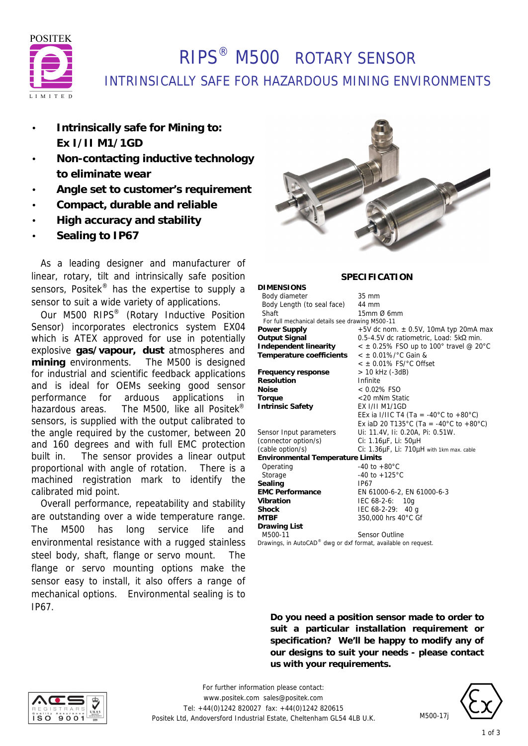

# RIPS® M500 ROTARY SENSOR INTRINSICALLY SAFE FOR HAZARDOUS MINING ENVIRONMENTS

- **Intrinsically safe for Mining to: Ex I/II M1/1GD**
- **Non-contacting inductive technology to eliminate wear**
- **Angle set to customer's requirement**
- **Compact, durable and reliable**
- **High accuracy and stability**
- **Sealing to IP67**

 As a leading designer and manufacturer of linear, rotary, tilt and intrinsically safe position sensors, Positek<sup>®</sup> has the expertise to supply a sensor to suit a wide variety of applications.

 Our M500 RIPS® (Rotary Inductive Position Sensor) incorporates electronics system EX04 which is ATEX approved for use in potentially explosive **gas/vapour, dust** atmospheres and **mining** environments. The M500 is designed for industrial and scientific feedback applications and is ideal for OEMs seeking good sensor performance for arduous applications in hazardous areas. The M500, like all Positek<sup>®</sup> sensors, is supplied with the output calibrated to the angle required by the customer, between 20 and 160 degrees and with full EMC protection built in. The sensor provides a linear output proportional with angle of rotation. There is a machined registration mark to identify the calibrated mid point.

 Overall performance, repeatability and stability are outstanding over a wide temperature range. The M500 has long service life and environmental resistance with a rugged stainless steel body, shaft, flange or servo mount. The flange or servo mounting options make the sensor easy to install, it also offers a range of mechanical options. Environmental sealing is to IP67.



### **SPECIFICATION**

| <b>DIMENSIONS</b>                                              |                                                 |
|----------------------------------------------------------------|-------------------------------------------------|
| Body diameter                                                  | $35 \text{ mm}$                                 |
| Body Length (to seal face)                                     | 44 mm                                           |
| Shaft                                                          | $15$ mm $\varnothing$ 6mm                       |
| For full mechanical details see drawing M500-11                |                                                 |
| <b>Power Supply</b>                                            | +5V dc nom. $\pm$ 0.5V, 10mA typ 20mA max       |
| <b>Output Signal</b>                                           | 0.5-4.5V dc ratiometric, Load: 5kΩ min.         |
| Independent linearity                                          | $\epsilon$ ± 0.25% FSO up to 100° travel @ 20°C |
| Temperature coefficients                                       | $<$ ± 0.01%/°C Gain &                           |
|                                                                | $<$ $\pm$ 0.01% FS/ $^{\circ}$ C Offset         |
| Frequency response                                             | > 10 kHz (-3dB)                                 |
| Resolution                                                     | Infinite                                        |
| <b>Noise</b>                                                   | $< 0.02\%$ FSO                                  |
| Torque                                                         | <20 mNm Static                                  |
| <b>Intrinsic Safety</b>                                        | <b>EX I/II M1/1GD</b>                           |
|                                                                | EEx ia I/IIC T4 (Ta = -40°C to +80°C)           |
|                                                                | Ex iaD 20 T135°C (Ta = -40°C to +80°C)          |
| Sensor Input parameters                                        | Ui: 11.4V, Ii: 0.20A, Pi: 0.51W.                |
| (connector option/s)                                           | Ci: 1.16µF, Li: 50µH                            |
| (cable option/s)                                               | Ci: 1.36µF, Li: 710µH with 1km max. cable       |
| <b>Environmental Temperature Limits</b>                        |                                                 |
| Operating                                                      | $-40$ to $+80^{\circ}$ C                        |
| Storage                                                        | $-40$ to $+125^{\circ}$ C                       |
| Sealing                                                        | IP67                                            |
| <b>EMC Performance</b>                                         | EN 61000-6-2, EN 61000-6-3                      |
| Vibration                                                      | IEC 68-2-6: 10g                                 |
| <b>Shock</b>                                                   | IEC 68-2-29: 40 g                               |
| <b>MTBF</b>                                                    | 350,000 hrs 40°C Gf                             |
| <b>Drawing List</b>                                            |                                                 |
| M500-11                                                        | <b>Sensor Outline</b>                           |
| Drawings, in AutoCAD® dwg or dxf format, available on request. |                                                 |

**Do you need a position sensor made to order to suit a particular installation requirement or specification? We'll be happy to modify any of our designs to suit your needs - please contact us with your requirements.**





M500-17j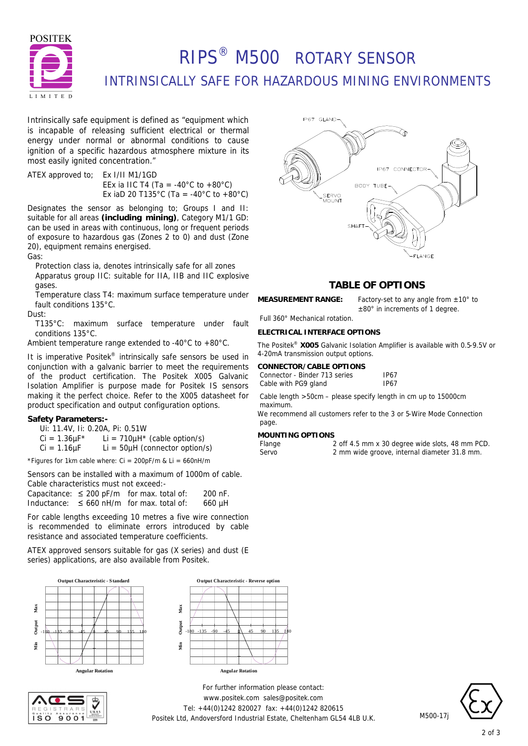

# RIPS® M500 ROTARY SENSOR INTRINSICALLY SAFE FOR HAZARDOUS MINING ENVIRONMENTS

Intrinsically safe equipment is defined as *"equipment which is incapable of releasing sufficient electrical or thermal energy under normal or abnormal conditions to cause ignition of a specific hazardous atmosphere mixture in its most easily ignited concentration."*

ATEX approved to; Ex I/II M1/1GD EEx ia IIC T4 (Ta = -40 $^{\circ}$ C to +80 $^{\circ}$ C) Ex iaD 20 T135°C (Ta = -40°C to +80°C)

Designates the sensor as belonging to; Groups I and II: suitable for all areas **(including mining)**, Category M1/1 GD: can be used in areas with continuous, long or frequent periods of exposure to hazardous gas (Zones 2 to 0) and dust (Zone 20), equipment remains energised.

Gas:

Protection class ia, denotes intrinsically safe for all zones Apparatus group IIC: suitable for IIA, IIB and IIC explosive gases.

Temperature class T4: maximum surface temperature under fault conditions 135°C.

Dust:

T135°C: maximum surface temperature under fault conditions 135°C.

Ambient temperature range extended to -40°C to +80°C.

It is imperative Positek<sup>®</sup> intrinsically safe sensors be used in conjunction with a galvanic barrier to meet the requirements of the product certification. The Positek X005 Galvanic Isolation Amplifier is purpose made for Positek IS sensors making it the perfect choice. Refer to the X005 datasheet for product specification and output configuration options.

### **Safety Parameters:-**

- Ui: 11.4V, Ii: 0.20A, Pi: 0.51W
- $Ci = 1.36 \mu F^*$  Li = 710 $\mu$ H<sup>\*</sup> (cable option/s)

 $Ci = 1.16 \mu F$  Li = 50 $\mu$ H (connector option/s)

\*Figures for 1km cable where:  $Ci = 200pF/m$  &  $Li = 660nH/m$ 

Sensors can be installed with a maximum of 1000m of cable. Cable characteristics must not exceed:-

Capacitance:  $\leq 200$  pF/m for max. total of: 200 nF. Inductance:  $\leq 660$  nH/m for max. total of: 660 µH

For cable lengths exceeding 10 metres a five wire connection is recommended to eliminate errors introduced by cable resistance and associated temperature coefficients.

ATEX approved sensors suitable for gas (X series) and dust (E series) applications, are also available from Positek.









### **TABLE OF OPTIONS**

±80° in increments of 1 degree.

**MEASUREMENT RANGE:** Factory-set to any angle from ±10° to

Full 360° Mechanical rotation.

### **ELECTRICAL INTERFACE OPTIONS**

The Positek® **X005** Galvanic Isolation Amplifier is available with 0.5-9.5V or 4-20mA transmission output options.

#### **CONNECTOR/CABLE OPTIONS** Conne

| ctor - Binder 713 series | IP67 |
|--------------------------|------|
| with PG9 gland           | IP67 |

Cable length >50cm – please specify length in cm up to 15000cm maximum.

We recommend all customers refer to the 3 or 5-Wire Mode Connection page.

## **MOUNTING OPTIONS**

Cable

| nge |  |  |
|-----|--|--|
| rvn |  |  |

2 off 4.5 mm x 30 degree wide slots, 48 mm PCD. Servo 2 mm wide groove, internal diameter 31.8 mm.

*For further information please contact:* www.positek.com sales@positek.com Tel: +44(0)1242 820027 fax: +44(0)1242 820615 Positek Ltd, Andoversford Industrial Estate, Cheltenham GL54 4LB U.K.



M500-17j